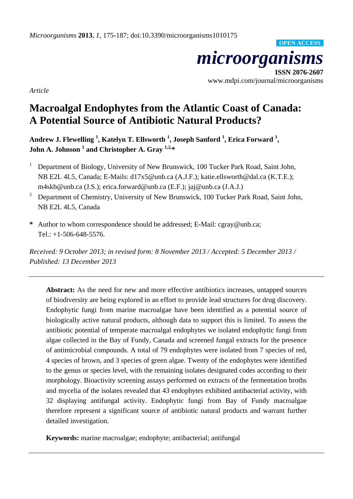*microorganisms*

**ISSN 2076-2607** www.mdpi.com/journal/microorganisms

**OPEN ACCESS**

*Article*

# **Macroalgal Endophytes from the Atlantic Coast of Canada: A Potential Source of Antibiotic Natural Products?**

**Andrew J. Flewelling <sup>1</sup> , Katelyn T. Ellsworth <sup>1</sup> , Joseph Sanford <sup>1</sup> , Erica Forward <sup>1</sup> , John A. Johnson <sup>1</sup> and Christopher A. Gray 1,2,\***

- <sup>1</sup> Department of Biology, University of New Brunswick, 100 Tucker Park Road, Saint John, NB E2L 4L5, Canada; E-Mails: d17x5@unb.ca (A.J.F.); katie.ellsworth@dal.ca (K.T.E.); m4skb@unb.ca (J.S.); erica.forward@unb.ca (E.F.); jaj@unb.ca (J.A.J.)
- <sup>2</sup> Department of Chemistry, University of New Brunswick, 100 Tucker Park Road, Saint John, NB E2L 4L5, Canada
- **\*** Author to whom correspondence should be addressed; E-Mail: cgray@unb.ca; Tel.: +1-506-648-5576.

*Received: 9 October 2013; in revised form: 8 November 2013 / Accepted: 5 December 2013 / Published: 13 December 2013*

**Abstract:** As the need for new and more effective antibiotics increases, untapped sources of biodiversity are being explored in an effort to provide lead structures for drug discovery. Endophytic fungi from marine macroalgae have been identified as a potential source of biologically active natural products, although data to support this is limited. To assess the antibiotic potential of temperate macroalgal endophytes we isolated endophytic fungi from algae collected in the Bay of Fundy, Canada and screened fungal extracts for the presence of antimicrobial compounds. A total of 79 endophytes were isolated from 7 species of red, 4 species of brown, and 3 species of green algae. Twenty of the endophytes were identified to the genus or species level, with the remaining isolates designated codes according to their morphology. Bioactivity screening assays performed on extracts of the fermentation broths and mycelia of the isolates revealed that 43 endophytes exhibited antibacterial activity, with 32 displaying antifungal activity. Endophytic fungi from Bay of Fundy macroalgae therefore represent a significant source of antibiotic natural products and warrant further detailed investigation.

**Keywords:** marine macroalgae; endophyte; antibacterial; antifungal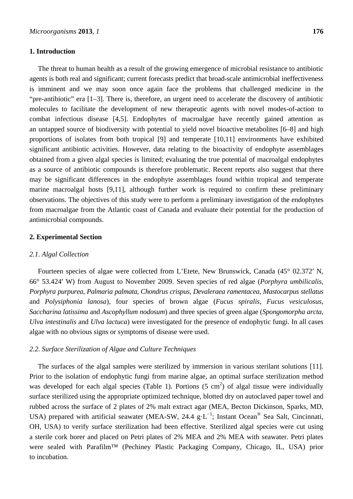## **1. Introduction**

The threat to human health as a result of the growing emergence of microbial resistance to antibiotic agents is both real and significant; current forecasts predict that broad-scale antimicrobial ineffectiveness is imminent and we may soon once again face the problems that challenged medicine in the "pre-antibiotic" era [1–3]. There is, therefore, an urgent need to accelerate the discovery of antibiotic molecules to facilitate the development of new therapeutic agents with novel modes-of-action to combat infectious disease [4,5]. Endophytes of macroalgae have recently gained attention as an untapped source of biodiversity with potential to yield novel bioactive metabolites [6–8] and high proportions of isolates from both tropical [9] and temperate [10,11] environments have exhibited significant antibiotic activities. However, data relating to the bioactivity of endophyte assemblages obtained from a given algal species is limited; evaluating the true potential of macroalgal endophytes as a source of antibiotic compounds is therefore problematic. Recent reports also suggest that there may be significant differences in the endophyte assemblages found within tropical and temperate marine macroalgal hosts [9,11], although further work is required to confirm these preliminary observations. The objectives of this study were to perform a preliminary investigation of the endophytes from macroalgae from the Atlantic coast of Canada and evaluate their potential for the production of antimicrobial compounds.

# **2. Experimental Section**

#### *2.1. Algal Collection*

Fourteen species of algae were collected from L'Etete, New Brunswick, Canada (45° 02.372′ N, 66° 53.424′ W) from August to November 2009. Seven species of red algae (*Porphyra umbilicalis*, *Porphyra purpurea*, *Palmaria palmata*, *Chondrus crispus*, *Devaleraea ramentacea*, *Mastocarpus stellatus* and *Polysiphonia lanosa*), four species of brown algae (*Fucus spiralis*, *Fucus vesiculosus*, *Saccharina latissima* and *Ascophyllum nodosum*) and three species of green algae (*Spongomorpha arcta*, *Ulva intestinalis* and *Ulva lactuca*) were investigated for the presence of endophytic fungi. In all cases algae with no obvious signs or symptoms of disease were used.

## *2.2. Surface Sterilization of Algae and Culture Techniques*

The surfaces of the algal samples were sterilized by immersion in various sterilant solutions [11]. Prior to the isolation of endophytic fungi from marine algae, an optimal surface sterilization method was developed for each algal species (Table 1). Portions  $(5 \text{ cm}^2)$  of algal tissue were individually surface sterilized using the appropriate optimized technique, blotted dry on autoclaved paper towel and rubbed across the surface of 2 plates of 2% malt extract agar (MEA, Becton Dickinson, Sparks, MD, USA) prepared with artificial seawater (MEA-SW, 24.4  $g \cdot L^{-1}$ ; Instant Ocean<sup>®</sup> Sea Salt, Cincinnati, OH, USA) to verify surface sterilization had been effective. Sterilized algal species were cut using a sterile cork borer and placed on Petri plates of 2% MEA and 2% MEA with seawater. Petri plates were sealed with Parafilm™ (Pechiney Plastic Packaging Company, Chicago, IL, USA) prior to incubation.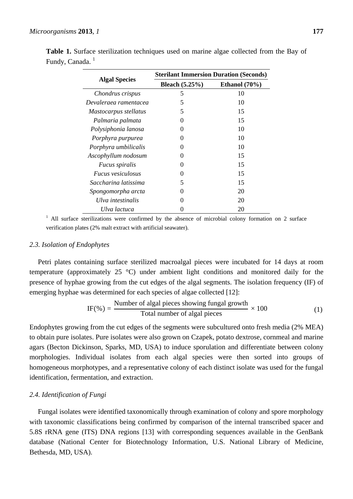|                          | <b>Sterilant Immersion Duration (Seconds)</b> |                  |  |  |
|--------------------------|-----------------------------------------------|------------------|--|--|
| <b>Algal Species</b>     | <b>Bleach</b> $(5.25%)$                       | Ethanol $(70\%)$ |  |  |
| Chondrus crispus         | 5                                             | 10               |  |  |
| Devaleraea ramentacea    | 5                                             | 10               |  |  |
| Mastocarpus stellatus    | 5                                             | 15               |  |  |
| Palmaria palmata         | $\theta$                                      | 15               |  |  |
| Polysiphonia lanosa      | 0                                             | 10               |  |  |
| Porphyra purpurea        | $\mathbf{\Omega}$                             | 10               |  |  |
| Porphyra umbilicalis     | 0                                             | 10               |  |  |
| Ascophyllum nodosum      | 0                                             | 15               |  |  |
| <i>Fucus spiralis</i>    | 0                                             | 15               |  |  |
| <i>Fucus vesiculosus</i> |                                               | 15               |  |  |
| Saccharina latissima     | 5                                             | 15               |  |  |
| Spongomorpha arcta       | 0                                             | 20               |  |  |
| Ulva intestinalis        | $\mathbf{\Omega}$                             | 20               |  |  |
| Ulva lactuca             |                                               | 20               |  |  |

**Table 1.** Surface sterilization techniques used on marine algae collected from the Bay of Fundy, Canada.<sup>1</sup>

<sup>1</sup> All surface sterilizations were confirmed by the absence of microbial colony formation on 2 surface verification plates (2% malt extract with artificial seawater).

### *2.3. Isolation of Endophytes*

Petri plates containing surface sterilized macroalgal pieces were incubated for 14 days at room temperature (approximately 25 °C) under ambient light conditions and monitored daily for the presence of hyphae growing from the cut edges of the algal segments. The isolation frequency (IF) of emerging hyphae was determined for each species of algae collected [12]:

IF(%) = 
$$
\frac{\text{Number of algal pieces showing fungal growth}}{\text{Total number of algal pieces}} \times 100
$$
 (1)

Endophytes growing from the cut edges of the segments were subcultured onto fresh media (2% MEA) to obtain pure isolates. Pure isolates were also grown on Czapek, potato dextrose, cornmeal and marine agars (Becton Dickinson, Sparks, MD, USA) to induce sporulation and differentiate between colony morphologies. Individual isolates from each algal species were then sorted into groups of homogeneous morphotypes, and a representative colony of each distinct isolate was used for the fungal identification, fermentation, and extraction.

## *2.4. Identification of Fungi*

Fungal isolates were identified taxonomically through examination of colony and spore morphology with taxonomic classifications being confirmed by comparison of the internal transcribed spacer and 5.8S rRNA gene (ITS) DNA regions [13] with corresponding sequences available in the GenBank database (National Center for Biotechnology Information, U.S. National Library of Medicine, Bethesda, MD, USA).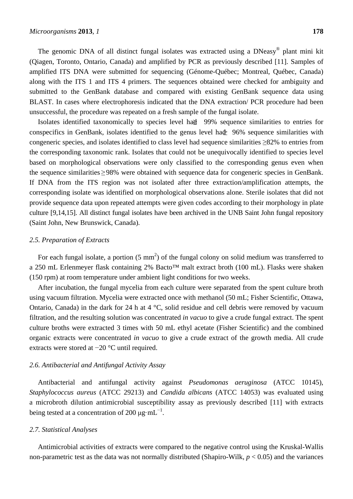The genomic DNA of all distinct fungal isolates was extracted using a DNeasy<sup>®</sup> plant mini kit (Qiagen, Toronto, Ontario, Canada) and amplified by PCR as previously described [11]. Samples of amplified ITS DNA were submitted for sequencing (Génome-Québec; Montreal, Québec, Canada) along with the ITS 1 and ITS 4 primers. The sequences obtained were checked for ambiguity and submitted to the GenBank database and compared with existing GenBank sequence data using BLAST. In cases where electrophoresis indicated that the DNA extraction/ PCR procedure had been unsuccessful, the procedure was repeated on a fresh sample of the fungal isolate.

Isolates identified taxonomically to species level had 29% sequence similarities to entries for conspecifics in GenBank, isolates identified to the genus level had  $\geq 96\%$  sequence similarities with congeneric species, and isolates identified to class level had sequence similarities ≥82% to entries from the corresponding taxonomic rank. Isolates that could not be unequivocally identified to species level based on morphological observations were only classified to the corresponding genus even when the sequence similarities ≥98% were obtained with sequence data for congeneric species in GenBank. If DNA from the ITS region was not isolated after three extraction/amplification attempts, the corresponding isolate was identified on morphological observations alone. Sterile isolates that did not provide sequence data upon repeated attempts were given codes according to their morphology in plate culture [9,14,15]. All distinct fungal isolates have been archived in the UNB Saint John fungal repository (Saint John, New Brunswick, Canada).

## *2.5. Preparation of Extracts*

For each fungal isolate, a portion  $(5 \text{ mm}^2)$  of the fungal colony on solid medium was transferred to a 250 mL Erlenmeyer flask containing 2% Bacto™ malt extract broth (100 mL). Flasks were shaken (150 rpm) at room temperature under ambient light conditions for two weeks.

After incubation, the fungal mycelia from each culture were separated from the spent culture broth using vacuum filtration. Mycelia were extracted once with methanol (50 mL; Fisher Scientific, Ottawa, Ontario, Canada) in the dark for 24 h at 4 °C, solid residue and cell debris were removed by vacuum filtration, and the resulting solution was concentrated *in vacuo* to give a crude fungal extract. The spent culture broths were extracted 3 times with 50 mL ethyl acetate (Fisher Scientific) and the combined organic extracts were concentrated *in vacuo* to give a crude extract of the growth media. All crude extracts were stored at −20 °C until required.

# *2.6. Antibacterial and Antifungal Activity Assay*

Antibacterial and antifungal activity against *Pseudomonas aeruginosa* (ATCC 10145), *Staphylococcus aureus* (ATCC 29213) and *Candida albicans* (ATCC 14053) was evaluated using a microbroth dilution antimicrobial susceptibility assay as previously described [11] with extracts being tested at a concentration of 200  $\mu$ g·mL<sup>-1</sup>.

#### *2.7. Statistical Analyses*

Antimicrobial activities of extracts were compared to the negative control using the Kruskal-Wallis non-parametric test as the data was not normally distributed (Shapiro-Wilk, *p* < 0.05) and the variances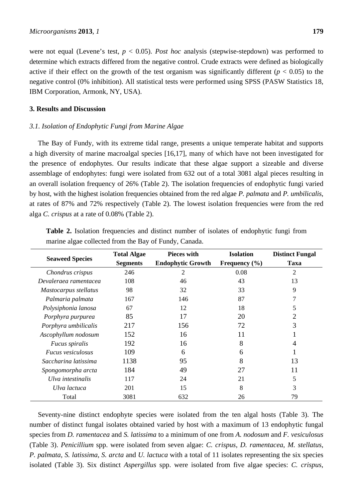were not equal (Levene's test, *p* < 0.05). *Post hoc* analysis (stepwise-stepdown) was performed to determine which extracts differed from the negative control. Crude extracts were defined as biologically active if their effect on the growth of the test organism was significantly different ( $p < 0.05$ ) to the negative control (0% inhibition). All statistical tests were performed using SPSS (PASW Statistics 18, IBM Corporation, Armonk, NY, USA).

# **3. Results and Discussion**

## *3.1. Isolation of Endophytic Fungi from Marine Algae*

The Bay of Fundy, with its extreme tidal range, presents a unique temperate habitat and supports a high diversity of marine macroalgal species [16,17], many of which have not been investigated for the presence of endophytes. Our results indicate that these algae support a sizeable and diverse assemblage of endophytes: fungi were isolated from 632 out of a total 3081 algal pieces resulting in an overall isolation frequency of 26% (Table 2). The isolation frequencies of endophytic fungi varied by host, with the highest isolation frequencies obtained from the red algae *P. palmata* and *P. umbilicalis*, at rates of 87% and 72% respectively (Table 2). The lowest isolation frequencies were from the red alga *C. crispus* at a rate of 0.08% (Table 2).

| <b>Seaweed Species</b> | <b>Total Algae</b><br><b>Segments</b> | <b>Pieces with</b><br><b>Endophytic Growth</b> | <b>Isolation</b><br>Frequency $(\% )$ | <b>Distinct Fungal</b><br><b>Taxa</b> |
|------------------------|---------------------------------------|------------------------------------------------|---------------------------------------|---------------------------------------|
| Chondrus crispus       | 246                                   | 2                                              | 0.08                                  | $\overline{2}$                        |
| Devaleraea ramentacea  | 108                                   | 46                                             | 43                                    | 13                                    |
| Mastocarpus stellatus  | 98                                    | 32                                             | 33                                    | 9                                     |
| Palmaria palmata       | 167                                   | 146                                            | 87                                    | 7                                     |
| Polysiphonia lanosa    | 67                                    | 12                                             | 18                                    | 5                                     |
| Porphyra purpurea      | 85                                    | 17                                             | 20                                    | 2                                     |
| Porphyra umbilicalis   | 217                                   | 156                                            | 72                                    | 3                                     |
| Ascophyllum nodosum    | 152                                   | 16                                             | 11                                    |                                       |
| <i>Fucus spiralis</i>  | 192                                   | 16                                             | 8                                     | 4                                     |
| Fucus vesiculosus      | 109                                   | 6                                              | 6                                     |                                       |
| Saccharina latissima   | 1138                                  | 95                                             | 8                                     | 13                                    |
| Spongomorpha arcta     | 184                                   | 49                                             | 27                                    | 11                                    |
| Ulva intestinalis      | 117                                   | 24                                             | 21                                    | 5                                     |
| Ulva lactuca           | 201                                   | 15                                             | 8                                     | 3                                     |
| Total                  | 3081                                  | 632                                            | 26                                    | 79                                    |

**Table 2.** Isolation frequencies and distinct number of isolates of endophytic fungi from marine algae collected from the Bay of Fundy, Canada.

Seventy-nine distinct endophyte species were isolated from the ten algal hosts (Table 3). The number of distinct fungal isolates obtained varied by host with a maximum of 13 endophytic fungal species from *D. ramentacea* and *S. latissima* to a minimum of one from *A. nodosum* and *F. vesiculosus* (Table 3). *Penicillium* spp. were isolated from seven algae: *C. crispus*, *D. ramentacea*, *M. stellatus*, *P. palmata*, *S. latissima*, *S. arcta* and *U. lactuca* with a total of 11 isolates representing the six species isolated (Table 3). Six distinct *Aspergillus* spp. were isolated from five algae species: *C. crispus*,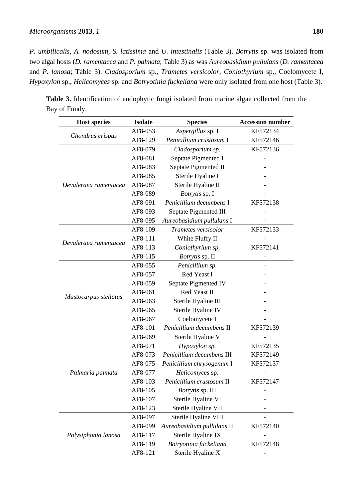*P. umbilicalis*, *A. nodosum*, *S. latissima* and *U. intestinalis* (Table 3). *Botrytis* sp. was isolated from two algal hosts (*D. ramentacea* and *P. palmata*; Table 3) as was *Aureobasidium pullulans* (*D. ramentacea* and *P. lanosa*; Table 3). *Cladosporium* sp., *Trametes versicolor*, *Coniothyrium* sp., Coelomycete I, *Hypoxylon* sp., *Helicomyces* sp. and *Botryotinia fuckeliana* were only isolated from one host (Table 3).

| <b>Host species</b>   | <b>Isolate</b> | <b>Species</b>             | <b>Accession number</b> |
|-----------------------|----------------|----------------------------|-------------------------|
|                       | AF8-053        | Aspergillus sp. I          | KF572134                |
| Chondrus crispus      | AF8-129        | Penicillium crustosum I    | KF572146                |
|                       | AF8-079        | Cladosporium sp.           | KF572136                |
|                       | AF8-081        | Septate Pigmented I        |                         |
|                       | AF8-083        | Septate Pigmented II       |                         |
|                       | AF8-085        | Sterile Hyaline I          |                         |
| Devaleraea ramentacea | AF8-087        | Sterile Hyaline II         |                         |
|                       | AF8-089        | Botrytis sp. I             |                         |
|                       | AF8-091        | Penicillium decumbens I    | KF572138                |
|                       | AF8-093        | Septate Pigmented III      |                         |
|                       | AF8-095        | Aureobasidium pullulans I  |                         |
|                       | AF8-109        | Trametes versicolor        | KF572133                |
|                       | AF8-111        | White Fluffy II            |                         |
| Devaleraea ramentacea | AF8-113        | Coniothyrium sp.           | KF572141                |
|                       | AF8-115        | Botrytis sp. II            |                         |
| Mastocarpus stellatus | AF8-055        | Penicillium sp.            |                         |
|                       | AF8-057        | Red Yeast I                |                         |
|                       | AF8-059        | Septate Pigmented IV       |                         |
|                       | AF8-061        | Red Yeast II               |                         |
|                       | AF8-063        | Sterile Hyaline III        |                         |
|                       | AF8-065        | Sterile Hyaline IV         |                         |
|                       | AF8-067        | Coelomycete I              |                         |
|                       | AF8-101        | Penicillium decumbens II   | KF572139                |
|                       | AF8-069        | Sterile Hyaline V          |                         |
| Palmaria palmata      | AF8-071        | Hypoxylon sp.              | KF572135                |
|                       | AF8-073        | Penicillium decumbens III  | KF572149                |
|                       | AF8-075        | Penicillium chrysogenum I  | KF572137                |
|                       | AF8-077        | Helicomyces sp.            |                         |
|                       | AF8-103        | Penicillium crustosum II   | KF572147                |
|                       | AF8-105        | Botrytis sp. III           |                         |
|                       | AF8-107        | Sterile Hyaline VI         |                         |
|                       | AF8-123        | Sterile Hyaline VII        |                         |
|                       | AF8-097        | Sterile Hyaline VIII       |                         |
|                       | AF8-099        | Aureobasidium pullulans II | KF572140                |
| Polysiphonia lanosa   | AF8-117        | Sterile Hyaline IX         |                         |
|                       | AF8-119        | Botryotinia fuckeliana     | KF572148                |
|                       | AF8-121        | Sterile Hyaline X          |                         |

**Table 3.** Identification of endophytic fungi isolated from marine algae collected from the Bay of Fundy.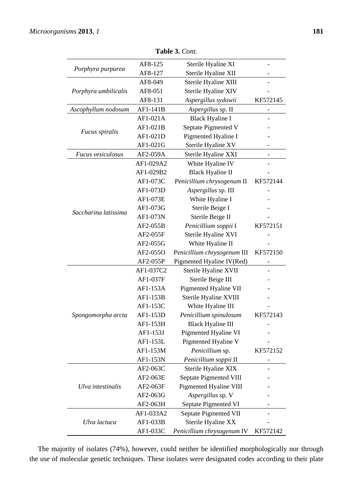| <b>Table 3.</b> Com. |           |                             |          |  |
|----------------------|-----------|-----------------------------|----------|--|
| Porphyra purpurea    | AF8-125   | Sterile Hyaline XI          |          |  |
|                      | AF8-127   | Sterile Hyaline XII         |          |  |
|                      | AF8-049   | Sterile Hyaline XIII        |          |  |
| Porphyra umbilicalis | AF8-051   | Sterile Hyaline XIV         |          |  |
|                      | AF8-131   | Aspergillus sydowii         | KF572145 |  |
| Ascophyllum nodosum  | AF1-141B  | Aspergillus sp. II          | -        |  |
|                      | AF1-021A  | <b>Black Hyaline I</b>      |          |  |
|                      | AF1-021B  | Septate Pigmented V         |          |  |
| Fucus spiralis       | AF1-021D  | Pigmented Hyaline I         |          |  |
| Fucus vesiculosus    | AF1-021G  | Sterile Hyaline XV          |          |  |
|                      | AF2-059A  | Sterile Hyaline XXI         |          |  |
|                      | AF1-029A2 | White Hyaline IV            |          |  |
| Saccharina latissima | AF1-029B2 | <b>Black Hyaline II</b>     |          |  |
|                      | AF1-073C  | Penicillium chrysogenum II  | KF572144 |  |
|                      | AF1-073D  | Aspergillus sp. III         |          |  |
|                      | AF1-073E  | White Hyaline I             |          |  |
|                      | AF1-073G  | Sterile Beige I             |          |  |
|                      | AF1-073N  | Sterile Beige II            |          |  |
|                      | AF2-055B  | Penicillium soppii I        | KF572151 |  |
|                      | AF2-055F  | Sterile Hyaline XVI         |          |  |
|                      | AF2-055G  | White Hyaline II            |          |  |
|                      | AF2-055O  | Penicillium chrysogenum III | KF572150 |  |
|                      | AF2-055P  | Pigmented Hyaline IV(Red)   |          |  |
|                      | AF1-037C2 | Sterile Hyaline XVII        |          |  |
| Spongomorpha arcta   | AF1-037F  | Sterile Beige III           |          |  |
|                      | AF1-153A  | Pigmented Hyaline VII       |          |  |
|                      | AF1-153B  | Sterile Hyaline XVIII       |          |  |
|                      | AF1-153C  | White Hyaline III           |          |  |
|                      | AF1-153D  | Penicillium spinulosum      | KF572143 |  |
|                      | AF1-153H  | <b>Black Hyaline III</b>    |          |  |
|                      | AF1-153J  | Pigmented Hyaline VI        |          |  |
|                      | AF1-153L  | Pigmented Hyaline V         |          |  |
|                      | AF1-153M  | Penicillium sp.             | KF572152 |  |
|                      | AF1-153N  | Penicillium soppii II       |          |  |
|                      | AF2-063C  | Sterile Hyaline XIX         |          |  |
|                      | AF2-063E  | Septate Pigmented VIII      |          |  |
| Ulva intestinalis    | AF2-063F  | Pigmented Hyaline VIII      |          |  |
|                      | AF2-063G  | Aspergillus sp. V           |          |  |
|                      | AF2-063H  | Septate Pigmented VI        |          |  |
|                      | AF1-033A2 | Septate Pigmented VII       |          |  |
| Ulva lactuca         | AF1-033B  | Sterile Hyaline XX          |          |  |
|                      | AF1-033C  | Penicillium chrysogenum IV  | KF572142 |  |

**Table 3.** *Cont.*

The majority of isolates (74%), however, could neither be identified morphologically nor through the use of molecular genetic techniques. These isolates were designated codes according to their plate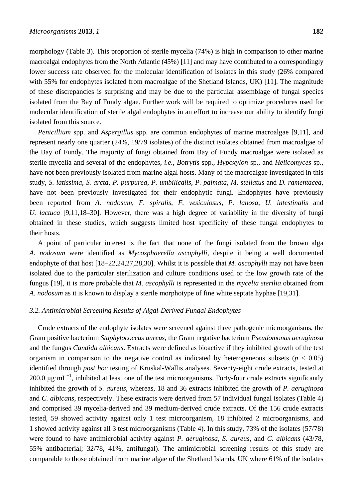morphology (Table 3). This proportion of sterile mycelia (74%) is high in comparison to other marine macroalgal endophytes from the North Atlantic (45%) [11] and may have contributed to a correspondingly lower success rate observed for the molecular identification of isolates in this study (26% compared with 55% for endophytes isolated from macroalgae of the Shetland Islands, UK) [11]. The magnitude of these discrepancies is surprising and may be due to the particular assemblage of fungal species isolated from the Bay of Fundy algae. Further work will be required to optimize procedures used for molecular identification of sterile algal endophytes in an effort to increase our ability to identify fungi isolated from this source.

*Penicillium* spp. and *Aspergillus* spp. are common endophytes of marine macroalgae [9,11], and represent nearly one quarter (24%, 19/79 isolates) of the distinct isolates obtained from macroalgae of the Bay of Fundy. The majority of fungi obtained from Bay of Fundy macroalgae were isolated as sterile mycelia and several of the endophytes, *i.e.*, *Botrytis* spp., *Hypoxylon* sp., and *Helicomyces* sp., have not been previously isolated from marine algal hosts. Many of the macroalgae investigated in this study, *S. latissima*, *S. arcta*, *P. purpurea*, *P. umbilicalis*, *P. palmata*, *M. stellatus* and *D. ramentacea*, have not been previously investigated for their endophytic fungi. Endophytes have previously been reported from *A. nodosum*, *F. spiralis*, *F. vesiculosus*, *P. lanosa*, *U. intestinalis* and *U. lactuca* [9,11,18–30]. However, there was a high degree of variability in the diversity of fungi obtained in these studies, which suggests limited host specificity of these fungal endophytes to their hosts.

A point of particular interest is the fact that none of the fungi isolated from the brown alga *A. nodosum* were identified as *Mycosphaerella ascophylli*, despite it being a well documented endophyte of that host [18–22,24,27,28,30]. Whilst it is possible that *M. ascophylli* may not have been isolated due to the particular sterilization and culture conditions used or the low growth rate of the fungus [19], it is more probable that *M. ascophylli* is represented in the *mycelia sterilia* obtained from *A. nodosum* as it is known to display a sterile morphotype of fine white septate hyphae [19,31].

# *3.2. Antimicrobial Screening Results of Algal-Derived Fungal Endophytes*

Crude extracts of the endophyte isolates were screened against three pathogenic microorganisms, the Gram positive bacterium *Staphylococcus aureus*, the Gram negative bacterium *Pseudomonas aeruginosa* and the fungus *Candida albicans*. Extracts were defined as bioactive if they inhibited growth of the test organism in comparison to the negative control as indicated by heterogeneous subsets ( $p < 0.05$ ) identified through *post hoc* testing of Kruskal-Wallis analyses. Seventy-eight crude extracts, tested at 200.0 μg⋅mL<sup>-1</sup>, inhibited at least one of the test microorganisms. Forty-four crude extracts significantly inhibited the growth of *S. aureus*, whereas, 18 and 36 extracts inhibited the growth of *P. aeruginosa* and *C. albicans*, respectively. These extracts were derived from 57 individual fungal isolates (Table 4) and comprised 39 mycelia-derived and 39 medium-derived crude extracts. Of the 156 crude extracts tested, 59 showed activity against only 1 test microorganism, 18 inhibited 2 microorganisms, and 1 showed activity against all 3 test microorganisms (Table 4). In this study, 73% of the isolates (57/78) were found to have antimicrobial activity against *P. aeruginosa*, *S. aureus*, and *C. albicans* (43/78, 55% antibacterial; 32/78, 41%, antifungal). The antimicrobial screening results of this study are comparable to those obtained from marine algae of the Shetland Islands, UK where 61% of the isolates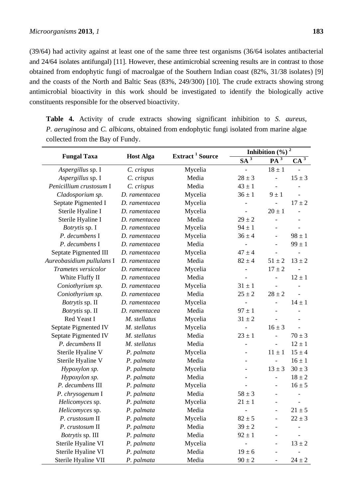(39/64) had activity against at least one of the same three test organisms (36/64 isolates antibacterial and 24/64 isolates antifungal) [11]. However, these antimicrobial screening results are in contrast to those obtained from endophytic fungi of macroalgae of the Southern Indian coast (82%, 31/38 isolates) [9] and the coasts of the North and Baltic Seas (83%, 249/300) [10]. The crude extracts showing strong antimicrobial bioactivity in this work should be investigated to identify the biologically active constituents responsible for the observed bioactivity.

**Table 4.** Activity of crude extracts showing significant inhibition to *S. aureus*, *P. aeruginosa* and *C. albicans*, obtained from endophytic fungi isolated from marine algae collected from the Bay of Fundy.

|                           |                  | Extract <sup>1</sup> Source<br>$\overline{\text{SA}^3}$ | Inhibition $(\%)$ <sup>2</sup> |                              |            |
|---------------------------|------------------|---------------------------------------------------------|--------------------------------|------------------------------|------------|
| <b>Fungal Taxa</b>        | <b>Host Alga</b> |                                                         | $PA^3$                         | $CA^3$                       |            |
| Aspergillus sp. I         | C. crispus       | Mycelia                                                 |                                | $18 \pm 1$                   |            |
| Aspergillus sp. I         | C. crispus       | Media                                                   | $28 \pm 3$                     | $\overline{a}$               | $15 \pm 3$ |
| Penicillium crustosum I   | C. crispus       | Media                                                   | $43 \pm 1$                     | $\overline{a}$               |            |
| Cladosporium sp.          | D. ramentacea    | Mycelia                                                 | $36 \pm 1$                     | $9 \pm 1$                    |            |
| Septate Pigmented I       | D. ramentacea    | Mycelia                                                 | $\overline{\phantom{0}}$       |                              | $17 \pm 2$ |
| Sterile Hyaline I         | D. ramentacea    | Mycelia                                                 | $\overline{a}$                 | $20 \pm 1$                   |            |
| Sterile Hyaline I         | D. ramentacea    | Media                                                   | $29 \pm 2$                     |                              |            |
| Botrytis sp. I            | D. ramentacea    | Mycelia                                                 | $94 \pm 1$                     | $\qquad \qquad -$            |            |
| P. decumbens I            | D. ramentacea    | Mycelia                                                 | $36 \pm 4$                     | $\overline{\phantom{a}}$     | $98 \pm 1$ |
| P. decumbens I            | D. ramentacea    | Media                                                   |                                | $\overline{a}$               | $99 \pm 1$ |
| Septate Pigmented III     | D. ramentacea    | Mycelia                                                 | $47 \pm 4$                     |                              |            |
| Aureobasidium pullulans I | D. ramentacea    | Media                                                   | $82 \pm 4$                     | $51 \pm 2$                   | $13 \pm 2$ |
| Trametes versicolor       | D. ramentacea    | Mycelia                                                 |                                | $17 \pm 2$                   |            |
| White Fluffy II           | D. ramentacea    | Media                                                   |                                | $\overline{\phantom{0}}$     | $12 \pm 1$ |
| Coniothyrium sp.          | D. ramentacea    | Mycelia                                                 | $31 \pm 1$                     |                              |            |
| Coniothyrium sp.          | D. ramentacea    | Media                                                   | $25 \pm 2$                     | $28 \pm 2$                   |            |
| Botrytis sp. II           | D. ramentacea    | Mycelia                                                 | $\qquad \qquad \blacksquare$   | $\overline{a}$               | $14 \pm 1$ |
| Botrytis sp. II           | D. ramentacea    | Media                                                   | $97 \pm 1$                     | $\overline{a}$               |            |
| Red Yeast I               | M. stellatus     | Mycelia                                                 | $31 \pm 2$                     | $\overline{a}$               |            |
| Septate Pigmented IV      | M. stellatus     | Mycelia                                                 |                                | $16 \pm 3$                   | L,         |
| Septate Pigmented IV      | M. stellatus     | Media                                                   | $23 \pm 1$                     | $\overline{a}$               | $70 \pm 3$ |
| P. decumbens II           | M. stellatus     | Media                                                   |                                | $\overline{a}$               | $12 \pm 1$ |
| Sterile Hyaline V         | P. palmata       | Mycelia                                                 | $\overline{\phantom{a}}$       | $11 \pm 1$                   | $15 \pm 4$ |
| Sterile Hyaline V         | P. palmata       | Media                                                   | $\overline{\phantom{a}}$       | $\overline{a}$               | $16 \pm 1$ |
| Hypoxylon sp.             | P. palmata       | Mycelia                                                 |                                | $13 \pm 3$                   | $30 \pm 3$ |
| Hypoxylon sp.             | P. palmata       | Media                                                   | $\overline{\phantom{a}}$       | $\qquad \qquad \blacksquare$ | $18 \pm 2$ |
| P. decumbens III          | P. palmata       | Mycelia                                                 |                                | $\overline{\phantom{a}}$     | $16 \pm 5$ |
| P. chrysogenum I          | P. palmata       | Media                                                   | $58 \pm 3$                     | $\overline{\phantom{0}}$     |            |
| Helicomyces sp.           | P. palmata       | Mycelia                                                 | $21 \pm 1$                     | $\overline{\phantom{a}}$     |            |
| Helicomyces sp.           | P. palmata       | Media                                                   | $\qquad \qquad -$              |                              | $21 \pm 5$ |
| P. crustosum II           | P. palmata       | Mycelia                                                 | $82 \pm 5$                     |                              | $22 \pm 3$ |
| P. crustosum II           | P. palmata       | Media                                                   | $39\pm2$                       |                              |            |
| Botrytis sp. III          | P. palmata       | Media                                                   | $92 \pm 1$                     |                              |            |
| Sterile Hyaline VI        | P. palmata       | Mycelia                                                 |                                |                              | $13 \pm 2$ |
| Sterile Hyaline VI        | P. palmata       | Media                                                   | $19 \pm 6$                     |                              |            |
| Sterile Hyaline VII       | P. palmata       | Media                                                   | $90 \pm 2$                     |                              | $24 \pm 2$ |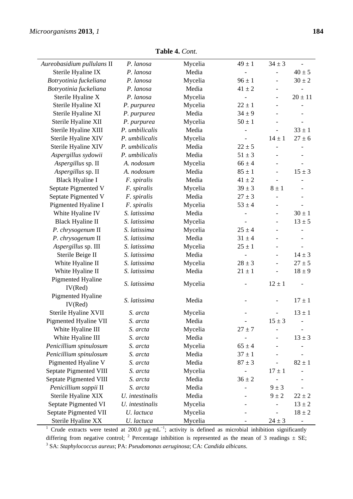$\overline{\phantom{a}}$ 

| $34 \pm 3$<br>Aureobasidium pullulans II<br>Mycelia<br>$49 \pm 1$<br>P. lanosa<br>Sterile Hyaline IX<br>Media<br>$40 \pm 5$<br>P. lanosa<br>Botryotinia fuckeliana<br>Mycelia<br>$30 \pm 2$<br>P. lanosa<br>$96 \pm 1$<br>$\overline{a}$<br>Media<br>Botryotinia fuckeliana<br>$41 \pm 2$<br>P. lanosa<br>Sterile Hyaline X<br>Mycelia<br>P. lanosa<br>$20 \pm 11$<br>$\overline{\phantom{a}}$<br>Sterile Hyaline XI<br>Mycelia<br>$22 \pm 1$<br>P. purpurea<br>Sterile Hyaline XI<br>Media<br>$34 \pm 9$<br>P. purpurea<br>$\overline{\phantom{0}}$<br>Sterile Hyaline XII<br>$50 \pm 1$<br>P. purpurea<br>Mycelia<br>Sterile Hyaline XIII<br>P. umbilicalis<br>Media<br>$33 \pm 1$<br>Sterile Hyaline XIV<br>P. umbilicalis<br>Mycelia<br>$27 \pm 6$<br>$14 \pm 1$<br>Sterile Hyaline XIV<br>P. umbilicalis<br>Media<br>$22 \pm 5$<br>L,<br>Media<br>Aspergillus sydowii<br>P. umbilicalis<br>$51 \pm 3$<br>L,<br>Aspergillus sp. II<br>A. nodosum<br>Mycelia<br>$66 \pm 4$<br>$\overline{\phantom{0}}$<br>Media<br>$85 \pm 1$<br>Aspergillus sp. II<br>A. nodosum<br>$15 \pm 3$<br>$\overline{\phantom{0}}$<br><b>Black Hyaline I</b><br>Media<br>F. spiralis<br>$41 \pm 2$<br>Septate Pigmented V<br>Mycelia<br>F. spiralis<br>$39 \pm 3$<br>$8 \pm 1$<br>Septate Pigmented V<br>Media<br>F. spiralis<br>$27 \pm 3$<br>$\overline{a}$<br>$\overline{\phantom{a}}$<br>Pigmented Hyaline I<br>Mycelia<br>F. spiralis<br>$53 \pm 4$<br>White Hyaline IV<br>S. latissima<br>Media<br>$30 \pm 1$<br>$\overline{\phantom{a}}$<br><b>Black Hyaline II</b><br>S. latissima<br>Mycelia<br>$13 \pm 5$<br>$\qquad \qquad -$<br>P. chrysogenum II<br>Mycelia<br>S. latissima<br>$25 \pm 4$<br>P. chrysogenum II<br>Media<br>S. latissima<br>$31 \pm 4$<br>Aspergillus sp. III<br>S. latissima<br>Mycelia<br>$25 \pm 1$<br>$\qquad \qquad \blacksquare$<br>Sterile Beige II<br>Media<br>$14 \pm 3$<br>S. latissima<br>$\overline{\phantom{a}}$<br>White Hyaline II<br>S. latissima<br>Mycelia<br>$27 \pm 5$<br>$28 \pm 3$<br>$\overline{a}$<br>White Hyaline II<br>Media<br>$21 \pm 1$<br>$18 \pm 9$<br>S. latissima<br><b>Pigmented Hyaline</b><br>S. latissima<br>$12 \pm 1$<br>Mycelia<br>IV(Red)<br><b>Pigmented Hyaline</b><br>Media<br>$17 \pm 1$<br>S. latissima<br>IV(Red)<br>Sterile Hyaline XVII<br>$13 \pm 1$<br>Mycelia<br>S. arcta<br>Media<br>$15 \pm 3$<br>Pigmented Hyaline VII<br>S. arcta<br>White Hyaline III<br>Mycelia<br>$27 \pm 7$<br>S. arcta |  |
|--------------------------------------------------------------------------------------------------------------------------------------------------------------------------------------------------------------------------------------------------------------------------------------------------------------------------------------------------------------------------------------------------------------------------------------------------------------------------------------------------------------------------------------------------------------------------------------------------------------------------------------------------------------------------------------------------------------------------------------------------------------------------------------------------------------------------------------------------------------------------------------------------------------------------------------------------------------------------------------------------------------------------------------------------------------------------------------------------------------------------------------------------------------------------------------------------------------------------------------------------------------------------------------------------------------------------------------------------------------------------------------------------------------------------------------------------------------------------------------------------------------------------------------------------------------------------------------------------------------------------------------------------------------------------------------------------------------------------------------------------------------------------------------------------------------------------------------------------------------------------------------------------------------------------------------------------------------------------------------------------------------------------------------------------------------------------------------------------------------------------------------------------------------------------------------------------------------------------------------------------------------------------------------------------------------------------------------------------------------------------------------------------------------------------------------------------------------|--|
|                                                                                                                                                                                                                                                                                                                                                                                                                                                                                                                                                                                                                                                                                                                                                                                                                                                                                                                                                                                                                                                                                                                                                                                                                                                                                                                                                                                                                                                                                                                                                                                                                                                                                                                                                                                                                                                                                                                                                                                                                                                                                                                                                                                                                                                                                                                                                                                                                                                              |  |
|                                                                                                                                                                                                                                                                                                                                                                                                                                                                                                                                                                                                                                                                                                                                                                                                                                                                                                                                                                                                                                                                                                                                                                                                                                                                                                                                                                                                                                                                                                                                                                                                                                                                                                                                                                                                                                                                                                                                                                                                                                                                                                                                                                                                                                                                                                                                                                                                                                                              |  |
|                                                                                                                                                                                                                                                                                                                                                                                                                                                                                                                                                                                                                                                                                                                                                                                                                                                                                                                                                                                                                                                                                                                                                                                                                                                                                                                                                                                                                                                                                                                                                                                                                                                                                                                                                                                                                                                                                                                                                                                                                                                                                                                                                                                                                                                                                                                                                                                                                                                              |  |
|                                                                                                                                                                                                                                                                                                                                                                                                                                                                                                                                                                                                                                                                                                                                                                                                                                                                                                                                                                                                                                                                                                                                                                                                                                                                                                                                                                                                                                                                                                                                                                                                                                                                                                                                                                                                                                                                                                                                                                                                                                                                                                                                                                                                                                                                                                                                                                                                                                                              |  |
|                                                                                                                                                                                                                                                                                                                                                                                                                                                                                                                                                                                                                                                                                                                                                                                                                                                                                                                                                                                                                                                                                                                                                                                                                                                                                                                                                                                                                                                                                                                                                                                                                                                                                                                                                                                                                                                                                                                                                                                                                                                                                                                                                                                                                                                                                                                                                                                                                                                              |  |
|                                                                                                                                                                                                                                                                                                                                                                                                                                                                                                                                                                                                                                                                                                                                                                                                                                                                                                                                                                                                                                                                                                                                                                                                                                                                                                                                                                                                                                                                                                                                                                                                                                                                                                                                                                                                                                                                                                                                                                                                                                                                                                                                                                                                                                                                                                                                                                                                                                                              |  |
|                                                                                                                                                                                                                                                                                                                                                                                                                                                                                                                                                                                                                                                                                                                                                                                                                                                                                                                                                                                                                                                                                                                                                                                                                                                                                                                                                                                                                                                                                                                                                                                                                                                                                                                                                                                                                                                                                                                                                                                                                                                                                                                                                                                                                                                                                                                                                                                                                                                              |  |
|                                                                                                                                                                                                                                                                                                                                                                                                                                                                                                                                                                                                                                                                                                                                                                                                                                                                                                                                                                                                                                                                                                                                                                                                                                                                                                                                                                                                                                                                                                                                                                                                                                                                                                                                                                                                                                                                                                                                                                                                                                                                                                                                                                                                                                                                                                                                                                                                                                                              |  |
|                                                                                                                                                                                                                                                                                                                                                                                                                                                                                                                                                                                                                                                                                                                                                                                                                                                                                                                                                                                                                                                                                                                                                                                                                                                                                                                                                                                                                                                                                                                                                                                                                                                                                                                                                                                                                                                                                                                                                                                                                                                                                                                                                                                                                                                                                                                                                                                                                                                              |  |
|                                                                                                                                                                                                                                                                                                                                                                                                                                                                                                                                                                                                                                                                                                                                                                                                                                                                                                                                                                                                                                                                                                                                                                                                                                                                                                                                                                                                                                                                                                                                                                                                                                                                                                                                                                                                                                                                                                                                                                                                                                                                                                                                                                                                                                                                                                                                                                                                                                                              |  |
|                                                                                                                                                                                                                                                                                                                                                                                                                                                                                                                                                                                                                                                                                                                                                                                                                                                                                                                                                                                                                                                                                                                                                                                                                                                                                                                                                                                                                                                                                                                                                                                                                                                                                                                                                                                                                                                                                                                                                                                                                                                                                                                                                                                                                                                                                                                                                                                                                                                              |  |
|                                                                                                                                                                                                                                                                                                                                                                                                                                                                                                                                                                                                                                                                                                                                                                                                                                                                                                                                                                                                                                                                                                                                                                                                                                                                                                                                                                                                                                                                                                                                                                                                                                                                                                                                                                                                                                                                                                                                                                                                                                                                                                                                                                                                                                                                                                                                                                                                                                                              |  |
|                                                                                                                                                                                                                                                                                                                                                                                                                                                                                                                                                                                                                                                                                                                                                                                                                                                                                                                                                                                                                                                                                                                                                                                                                                                                                                                                                                                                                                                                                                                                                                                                                                                                                                                                                                                                                                                                                                                                                                                                                                                                                                                                                                                                                                                                                                                                                                                                                                                              |  |
|                                                                                                                                                                                                                                                                                                                                                                                                                                                                                                                                                                                                                                                                                                                                                                                                                                                                                                                                                                                                                                                                                                                                                                                                                                                                                                                                                                                                                                                                                                                                                                                                                                                                                                                                                                                                                                                                                                                                                                                                                                                                                                                                                                                                                                                                                                                                                                                                                                                              |  |
|                                                                                                                                                                                                                                                                                                                                                                                                                                                                                                                                                                                                                                                                                                                                                                                                                                                                                                                                                                                                                                                                                                                                                                                                                                                                                                                                                                                                                                                                                                                                                                                                                                                                                                                                                                                                                                                                                                                                                                                                                                                                                                                                                                                                                                                                                                                                                                                                                                                              |  |
|                                                                                                                                                                                                                                                                                                                                                                                                                                                                                                                                                                                                                                                                                                                                                                                                                                                                                                                                                                                                                                                                                                                                                                                                                                                                                                                                                                                                                                                                                                                                                                                                                                                                                                                                                                                                                                                                                                                                                                                                                                                                                                                                                                                                                                                                                                                                                                                                                                                              |  |
|                                                                                                                                                                                                                                                                                                                                                                                                                                                                                                                                                                                                                                                                                                                                                                                                                                                                                                                                                                                                                                                                                                                                                                                                                                                                                                                                                                                                                                                                                                                                                                                                                                                                                                                                                                                                                                                                                                                                                                                                                                                                                                                                                                                                                                                                                                                                                                                                                                                              |  |
|                                                                                                                                                                                                                                                                                                                                                                                                                                                                                                                                                                                                                                                                                                                                                                                                                                                                                                                                                                                                                                                                                                                                                                                                                                                                                                                                                                                                                                                                                                                                                                                                                                                                                                                                                                                                                                                                                                                                                                                                                                                                                                                                                                                                                                                                                                                                                                                                                                                              |  |
|                                                                                                                                                                                                                                                                                                                                                                                                                                                                                                                                                                                                                                                                                                                                                                                                                                                                                                                                                                                                                                                                                                                                                                                                                                                                                                                                                                                                                                                                                                                                                                                                                                                                                                                                                                                                                                                                                                                                                                                                                                                                                                                                                                                                                                                                                                                                                                                                                                                              |  |
|                                                                                                                                                                                                                                                                                                                                                                                                                                                                                                                                                                                                                                                                                                                                                                                                                                                                                                                                                                                                                                                                                                                                                                                                                                                                                                                                                                                                                                                                                                                                                                                                                                                                                                                                                                                                                                                                                                                                                                                                                                                                                                                                                                                                                                                                                                                                                                                                                                                              |  |
|                                                                                                                                                                                                                                                                                                                                                                                                                                                                                                                                                                                                                                                                                                                                                                                                                                                                                                                                                                                                                                                                                                                                                                                                                                                                                                                                                                                                                                                                                                                                                                                                                                                                                                                                                                                                                                                                                                                                                                                                                                                                                                                                                                                                                                                                                                                                                                                                                                                              |  |
|                                                                                                                                                                                                                                                                                                                                                                                                                                                                                                                                                                                                                                                                                                                                                                                                                                                                                                                                                                                                                                                                                                                                                                                                                                                                                                                                                                                                                                                                                                                                                                                                                                                                                                                                                                                                                                                                                                                                                                                                                                                                                                                                                                                                                                                                                                                                                                                                                                                              |  |
|                                                                                                                                                                                                                                                                                                                                                                                                                                                                                                                                                                                                                                                                                                                                                                                                                                                                                                                                                                                                                                                                                                                                                                                                                                                                                                                                                                                                                                                                                                                                                                                                                                                                                                                                                                                                                                                                                                                                                                                                                                                                                                                                                                                                                                                                                                                                                                                                                                                              |  |
|                                                                                                                                                                                                                                                                                                                                                                                                                                                                                                                                                                                                                                                                                                                                                                                                                                                                                                                                                                                                                                                                                                                                                                                                                                                                                                                                                                                                                                                                                                                                                                                                                                                                                                                                                                                                                                                                                                                                                                                                                                                                                                                                                                                                                                                                                                                                                                                                                                                              |  |
|                                                                                                                                                                                                                                                                                                                                                                                                                                                                                                                                                                                                                                                                                                                                                                                                                                                                                                                                                                                                                                                                                                                                                                                                                                                                                                                                                                                                                                                                                                                                                                                                                                                                                                                                                                                                                                                                                                                                                                                                                                                                                                                                                                                                                                                                                                                                                                                                                                                              |  |
|                                                                                                                                                                                                                                                                                                                                                                                                                                                                                                                                                                                                                                                                                                                                                                                                                                                                                                                                                                                                                                                                                                                                                                                                                                                                                                                                                                                                                                                                                                                                                                                                                                                                                                                                                                                                                                                                                                                                                                                                                                                                                                                                                                                                                                                                                                                                                                                                                                                              |  |
|                                                                                                                                                                                                                                                                                                                                                                                                                                                                                                                                                                                                                                                                                                                                                                                                                                                                                                                                                                                                                                                                                                                                                                                                                                                                                                                                                                                                                                                                                                                                                                                                                                                                                                                                                                                                                                                                                                                                                                                                                                                                                                                                                                                                                                                                                                                                                                                                                                                              |  |
|                                                                                                                                                                                                                                                                                                                                                                                                                                                                                                                                                                                                                                                                                                                                                                                                                                                                                                                                                                                                                                                                                                                                                                                                                                                                                                                                                                                                                                                                                                                                                                                                                                                                                                                                                                                                                                                                                                                                                                                                                                                                                                                                                                                                                                                                                                                                                                                                                                                              |  |
|                                                                                                                                                                                                                                                                                                                                                                                                                                                                                                                                                                                                                                                                                                                                                                                                                                                                                                                                                                                                                                                                                                                                                                                                                                                                                                                                                                                                                                                                                                                                                                                                                                                                                                                                                                                                                                                                                                                                                                                                                                                                                                                                                                                                                                                                                                                                                                                                                                                              |  |
|                                                                                                                                                                                                                                                                                                                                                                                                                                                                                                                                                                                                                                                                                                                                                                                                                                                                                                                                                                                                                                                                                                                                                                                                                                                                                                                                                                                                                                                                                                                                                                                                                                                                                                                                                                                                                                                                                                                                                                                                                                                                                                                                                                                                                                                                                                                                                                                                                                                              |  |
|                                                                                                                                                                                                                                                                                                                                                                                                                                                                                                                                                                                                                                                                                                                                                                                                                                                                                                                                                                                                                                                                                                                                                                                                                                                                                                                                                                                                                                                                                                                                                                                                                                                                                                                                                                                                                                                                                                                                                                                                                                                                                                                                                                                                                                                                                                                                                                                                                                                              |  |
|                                                                                                                                                                                                                                                                                                                                                                                                                                                                                                                                                                                                                                                                                                                                                                                                                                                                                                                                                                                                                                                                                                                                                                                                                                                                                                                                                                                                                                                                                                                                                                                                                                                                                                                                                                                                                                                                                                                                                                                                                                                                                                                                                                                                                                                                                                                                                                                                                                                              |  |
|                                                                                                                                                                                                                                                                                                                                                                                                                                                                                                                                                                                                                                                                                                                                                                                                                                                                                                                                                                                                                                                                                                                                                                                                                                                                                                                                                                                                                                                                                                                                                                                                                                                                                                                                                                                                                                                                                                                                                                                                                                                                                                                                                                                                                                                                                                                                                                                                                                                              |  |
| White Hyaline III<br>Media<br>$13 \pm 3$<br>S. arcta                                                                                                                                                                                                                                                                                                                                                                                                                                                                                                                                                                                                                                                                                                                                                                                                                                                                                                                                                                                                                                                                                                                                                                                                                                                                                                                                                                                                                                                                                                                                                                                                                                                                                                                                                                                                                                                                                                                                                                                                                                                                                                                                                                                                                                                                                                                                                                                                         |  |
| Penicillium spinulosum<br>Mycelia<br>$65 \pm 4$<br>S. arcta                                                                                                                                                                                                                                                                                                                                                                                                                                                                                                                                                                                                                                                                                                                                                                                                                                                                                                                                                                                                                                                                                                                                                                                                                                                                                                                                                                                                                                                                                                                                                                                                                                                                                                                                                                                                                                                                                                                                                                                                                                                                                                                                                                                                                                                                                                                                                                                                  |  |
| Penicillium spinulosum<br>Media<br>$37 \pm 1$<br>S. arcta                                                                                                                                                                                                                                                                                                                                                                                                                                                                                                                                                                                                                                                                                                                                                                                                                                                                                                                                                                                                                                                                                                                                                                                                                                                                                                                                                                                                                                                                                                                                                                                                                                                                                                                                                                                                                                                                                                                                                                                                                                                                                                                                                                                                                                                                                                                                                                                                    |  |
| Pigmented Hyaline V<br>Media<br>$87 \pm 3$<br>$82 \pm 1$<br>S. arcta                                                                                                                                                                                                                                                                                                                                                                                                                                                                                                                                                                                                                                                                                                                                                                                                                                                                                                                                                                                                                                                                                                                                                                                                                                                                                                                                                                                                                                                                                                                                                                                                                                                                                                                                                                                                                                                                                                                                                                                                                                                                                                                                                                                                                                                                                                                                                                                         |  |
| Septate Pigmented VIII<br>Mycelia<br>S. arcta<br>$17 \pm 1$                                                                                                                                                                                                                                                                                                                                                                                                                                                                                                                                                                                                                                                                                                                                                                                                                                                                                                                                                                                                                                                                                                                                                                                                                                                                                                                                                                                                                                                                                                                                                                                                                                                                                                                                                                                                                                                                                                                                                                                                                                                                                                                                                                                                                                                                                                                                                                                                  |  |
| Septate Pigmented VIII<br>Media<br>$36 \pm 2$<br>S. arcta                                                                                                                                                                                                                                                                                                                                                                                                                                                                                                                                                                                                                                                                                                                                                                                                                                                                                                                                                                                                                                                                                                                                                                                                                                                                                                                                                                                                                                                                                                                                                                                                                                                                                                                                                                                                                                                                                                                                                                                                                                                                                                                                                                                                                                                                                                                                                                                                    |  |
| Media<br>Penicillium soppii II<br>$9 \pm 3$<br>S. arcta                                                                                                                                                                                                                                                                                                                                                                                                                                                                                                                                                                                                                                                                                                                                                                                                                                                                                                                                                                                                                                                                                                                                                                                                                                                                                                                                                                                                                                                                                                                                                                                                                                                                                                                                                                                                                                                                                                                                                                                                                                                                                                                                                                                                                                                                                                                                                                                                      |  |
| Sterile Hyaline XIX<br>U. intestinalis<br>Media<br>$9 \pm 2$<br>$22 \pm 2$                                                                                                                                                                                                                                                                                                                                                                                                                                                                                                                                                                                                                                                                                                                                                                                                                                                                                                                                                                                                                                                                                                                                                                                                                                                                                                                                                                                                                                                                                                                                                                                                                                                                                                                                                                                                                                                                                                                                                                                                                                                                                                                                                                                                                                                                                                                                                                                   |  |
| Septate Pigmented VI<br>Mycelia<br>$13 \pm 2$<br>U. intestinalis                                                                                                                                                                                                                                                                                                                                                                                                                                                                                                                                                                                                                                                                                                                                                                                                                                                                                                                                                                                                                                                                                                                                                                                                                                                                                                                                                                                                                                                                                                                                                                                                                                                                                                                                                                                                                                                                                                                                                                                                                                                                                                                                                                                                                                                                                                                                                                                             |  |
| Septate Pigmented VII<br>Mycelia<br>$18 \pm 2$<br>U. lactuca                                                                                                                                                                                                                                                                                                                                                                                                                                                                                                                                                                                                                                                                                                                                                                                                                                                                                                                                                                                                                                                                                                                                                                                                                                                                                                                                                                                                                                                                                                                                                                                                                                                                                                                                                                                                                                                                                                                                                                                                                                                                                                                                                                                                                                                                                                                                                                                                 |  |
| Sterile Hyaline XX<br>Mycelia<br>U. lactuca<br>$24 \pm 3$                                                                                                                                                                                                                                                                                                                                                                                                                                                                                                                                                                                                                                                                                                                                                                                                                                                                                                                                                                                                                                                                                                                                                                                                                                                                                                                                                                                                                                                                                                                                                                                                                                                                                                                                                                                                                                                                                                                                                                                                                                                                                                                                                                                                                                                                                                                                                                                                    |  |

**Table 4.** *Cont.*

<sup>1</sup> Crude extracts were tested at 200.0  $\mu$ g·mL<sup>-1</sup>; activity is defined as microbial inhibition significantly differing from negative control; <sup>2</sup> Percentage inhibition is represented as the mean of 3 readings  $\pm$  SE; <sup>3</sup> SA: *Staphylococcus aureus*; PA: *Pseudomonas aeruginosa*; CA: *Candida albicans*.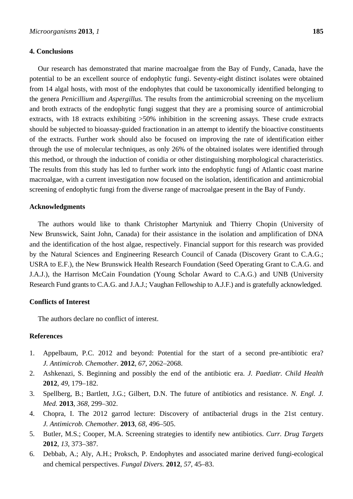## **4. Conclusions**

Our research has demonstrated that marine macroalgae from the Bay of Fundy, Canada, have the potential to be an excellent source of endophytic fungi. Seventy-eight distinct isolates were obtained from 14 algal hosts, with most of the endophytes that could be taxonomically identified belonging to the genera *Penicillium* and *Aspergillus.* The results from the antimicrobial screening on the mycelium and broth extracts of the endophytic fungi suggest that they are a promising source of antimicrobial extracts, with 18 extracts exhibiting  $>50\%$  inhibition in the screening assays. These crude extracts should be subjected to bioassay-guided fractionation in an attempt to identify the bioactive constituents of the extracts. Further work should also be focused on improving the rate of identification either through the use of molecular techniques, as only 26% of the obtained isolates were identified through this method, or through the induction of conidia or other distinguishing morphological characteristics. The results from this study has led to further work into the endophytic fungi of Atlantic coast marine macroalgae, with a current investigation now focused on the isolation, identification and antimicrobial screening of endophytic fungi from the diverse range of macroalgae present in the Bay of Fundy.

## **Acknowledgments**

The authors would like to thank Christopher Martyniuk and Thierry Chopin (University of New Brunswick, Saint John, Canada) for their assistance in the isolation and amplification of DNA and the identification of the host algae, respectively. Financial support for this research was provided by the Natural Sciences and Engineering Research Council of Canada (Discovery Grant to C.A.G.; USRA to E.F.), the New Brunswick Health Research Foundation (Seed Operating Grant to C.A.G. and J.A.J.), the Harrison McCain Foundation (Young Scholar Award to C.A.G.) and UNB (University Research Fund grants to C.A.G. and J.A.J.; Vaughan Fellowship to A.J.F.) and is gratefully acknowledged.

## **Conflicts of Interest**

The authors declare no conflict of interest.

# **References**

- 1. Appelbaum, P.C. 2012 and beyond: Potential for the start of a second pre-antibiotic era? *J. Antimicrob. Chemother.* **2012**, *67*, 2062–2068.
- 2. Ashkenazi, S. Beginning and possibly the end of the antibiotic era. *J. Paediatr. Child Health*  **2012**, *49*, 179–182.
- 3. Spellberg, B.; Bartlett, J.G.; Gilbert, D.N. The future of antibiotics and resistance. *N. Engl. J. Med.* **2013**, *368*, 299–302.
- 4. Chopra, I. The 2012 garrod lecture: Discovery of antibacterial drugs in the 21st century. *J. Antimicrob. Chemother.* **2013**, *68*, 496–505.
- 5. Butler, M.S.; Cooper, M.A. Screening strategies to identify new antibiotics. *Curr. Drug Targets*  **2012**, *13*, 373–387.
- 6. Debbab, A.; Aly, A.H.; Proksch, P. Endophytes and associated marine derived fungi-ecological and chemical perspectives. *Fungal Divers.* **2012**, *57*, 45–83.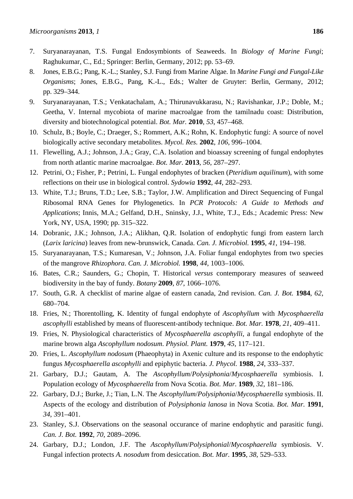- 7. Suryanarayanan, T.S. Fungal Endosymbionts of Seaweeds. In *Biology of Marine Fungi*; Raghukumar, C., Ed.; Springer: Berlin, Germany, 2012; pp. 53–69.
- 8. Jones, E.B.G.; Pang, K.-L.; Stanley, S.J. Fungi from Marine Algae. In *Marine Fungi and Fungal-Like Organisms*; Jones, E.B.G., Pang, K.-L., Eds.; Walter de Gruyter: Berlin, Germany, 2012; pp. 329–344.
- 9. Suryanarayanan, T.S.; Venkatachalam, A.; Thirunavukkarasu, N.; Ravishankar, J.P.; Doble, M.; Geetha, V. Internal mycobiota of marine macroalgae from the tamilnadu coast: Distribution, diversity and biotechnological potential. *Bot. Mar.* **2010**, *53*, 457–468.
- 10. Schulz, B.; Boyle, C.; Draeger, S.; Rommert, A.K.; Rohn, K. Endophytic fungi: A source of novel biologically active secondary metabolites. *Mycol. Res.* **2002**, *106*, 996–1004.
- 11. Flewelling, A.J.; Johnson, J.A.; Gray, C.A. Isolation and bioassay screening of fungal endophytes from north atlantic marine macroalgae. *Bot. Mar.* **2013**, *56*, 287–297.
- 12. Petrini, O.; Fisher, P.; Petrini, L. Fungal endophytes of bracken (*Pteridium aquilinum*), with some reflections on their use in biological control. *Sydowia* **1992**, *44*, 282–293.
- 13. White, T.J.; Bruns, T.D.; Lee, S.B.; Taylor, J.W. Amplification and Direct Sequencing of Fungal Ribosomal RNA Genes for Phylogenetics. In *PCR Protocols: A Guide to Methods and Applications*; Innis, M.A.; Gelfand, D.H., Sninsky, J.J., White, T.J., Eds.; Academic Press: New York, NY, USA, 1990; pp. 315–322.
- 14. Dobranic, J.K.; Johnson, J.A.; Alikhan, Q.R. Isolation of endophytic fungi from eastern larch (*Larix laricina*) leaves from new-brunswick, Canada. *Can. J. Microbiol.* **1995**, *41*, 194–198.
- 15. Suryanarayanan, T.S.; Kumaresan, V.; Johnson, J.A. Foliar fungal endophytes from two species of the mangrove *Rhizophora*. *Can. J. Microbiol.* **1998**, *44*, 1003–1006.
- 16. Bates, C.R.; Saunders, G.; Chopin, T. Historical *versus* contemporary measures of seaweed biodiversity in the bay of fundy. *Botany* **2009**, *87*, 1066–1076.
- 17. South, G.R. A checklist of marine algae of eastern canada, 2nd revision. *Can. J. Bot.* **1984**, *62*, 680–704.
- 18. Fries, N.; Thorentolling, K. Identity of fungal endophyte of *Ascophyllum* with *Mycosphaerella ascophylli* established by means of fluorescent-antibody technique. *Bot. Mar.* **1978**, *21*, 409–411.
- 19. Fries, N. Physiological characteristics of *Mycosphaerella ascophylli*, a fungal endophyte of the marine brown alga *Ascophyllum nodosum*. *Physiol. Plant.* **1979**, *45*, 117–121.
- 20. Fries, L. *Ascophyllum nodosum* (Phaeophyta) in Axenic culture and its response to the endophytic fungus *Mycosphaerella ascophylli* and epiphytic bacteria. *J. Phycol.* **1988**, *24*, 333–337.
- 21. Garbary, D.J.; Gautam, A. The *Ascophyllum*/*Polysiphonia*/*Mycosphaerella* symbiosis. I. Population ecology of *Mycosphaerella* from Nova Scotia. *Bot. Mar.* **1989**, *32*, 181–186.
- 22. Garbary, D.J.; Burke, J.; Tian, L.N. The *Ascophyllum*/*Polysiphonia*/*Mycosphaerella* symbiosis. II. Aspects of the ecology and distribution of *Polysiphonia lanosa* in Nova Scotia. *Bot. Mar.* **1991**, *34*, 391–401.
- 23. Stanley, S.J. Observations on the seasonal occurance of marine endophytic and parasitic fungi. *Can. J. Bot.* **1992**, *70*, 2089–2096.
- 24. Garbary, D.J.; London, J.F. The *Ascophyllum*/*Polysiphonial*/*Mycosphaerella* symbiosis. V. Fungal infection protects *A. nosodum* from desiccation. *Bot. Mar.* **1995**, *38*, 529–533.